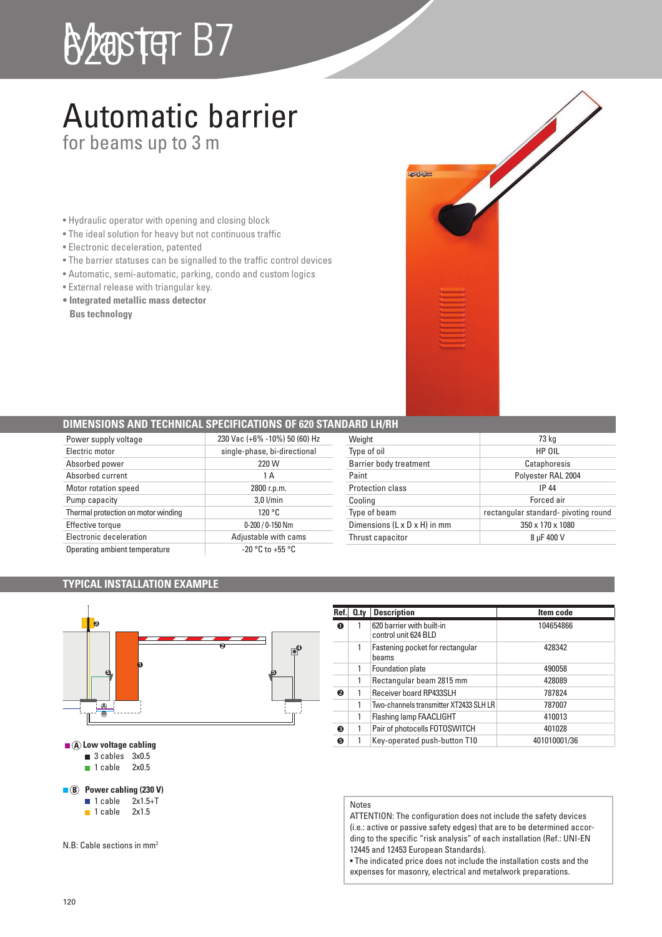# B2aster B7

### Automatic barrier

for beams up to 3 m

- Hydraulic operator with opening and closing block
- The ideal solution for heavy but not continuous traffic
- Electronic deceleration, patented
- The barrier statuses can be signalled to the traffic control devices
- Automatic, semi-automatic, parking, condo and custom logics
- External release with triangular key.
- **Integrated metallic mass detector Bus technology**

### **DIMENSIONS AND TECHNICAL SPECIFICATIONS OF 620 STANI**

| Power supply voltage                | 230 Vac (+6% -10%) 50 (60) Hz |
|-------------------------------------|-------------------------------|
| Electric motor                      | single-phase, bi-directional  |
| Absorbed power                      | 220 W                         |
| Absorbed current                    | 1 A                           |
| Motor rotation speed                | 2800 r.p.m.                   |
| Pump capacity                       | $3.0$ l/min                   |
| Thermal protection on motor winding | 120 °C                        |
| Effective torque                    | $0-200/0-150$ Nm              |
| Electronic deceleration             | Adjustable with cams          |
| Operating ambient temperature       | $-20$ °C to $+55$ °C          |

| JAKU LM/KM                   |                                      |
|------------------------------|--------------------------------------|
| Weight                       | 73 kg                                |
| Type of oil                  | HP OIL                               |
| Barrier body treatment       | Cataphoresis                         |
| Paint                        | Polyester RAL 2004                   |
| <b>Protection class</b>      | IP 44                                |
| Cooling                      | Forced air                           |
| Type of beam                 | rectangular standard- pivoting round |
| Dimensions (L x D x H) in mm | 350 x 170 x 1080                     |
| Thrust capacitor             | 8 uF 400 V                           |

**DAVIC** 

### **TYPICAL INSTALLATION EXAMPLE**



**Ref.** 0.ty Description Item code  $\overline{\bullet}$  1 620 barrier with built-in control unit 624 BLD 104654866 1 Fastening pocket for rectangular beams 428342 1 Foundation plate 490058 1 Rectangular beam 2815 mm 428089 **a** 1 Receiver board RP433SLH 787824 1 Two-channels transmitter XT2433 SLH LR 787007 1 Flashing lamp FAACLIGHT 410013 **e** 1 Pair of photocells FOTOSWITCH 401028

### Notes

ATTENTION: The configuration does not include the safety devices (i.e.: active or passive safety edges) that are to be determined according to the specific "risk analysis" of each installation (Ref.: UNI-EN 12445 and 12453 European Standards).

• The indicated price does not include the installation costs and the expenses for masonry, electrical and metalwork preparations.

 $N$  B: Cable sections in mm<sup>2</sup>